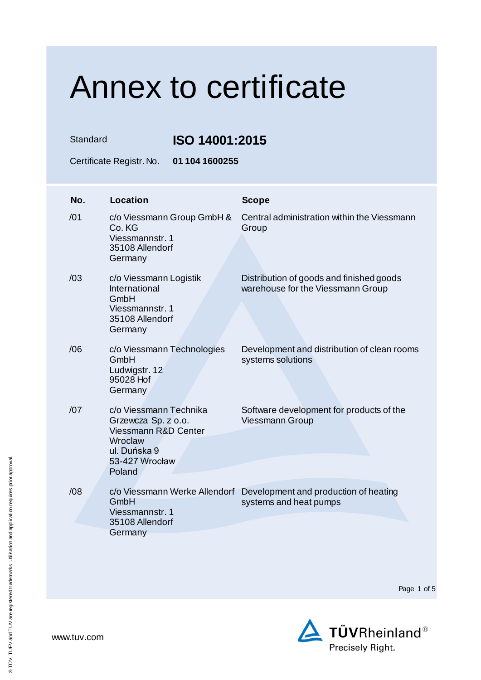Standard **ISO 14001:2015**

Certificate Registr. No. **01 104 1600255**

| No. | <b>Location</b>                                                                                                              | <b>Scope</b>                                                                                  |
|-----|------------------------------------------------------------------------------------------------------------------------------|-----------------------------------------------------------------------------------------------|
| /01 | c/o Viessmann Group GmbH &<br>Co. KG<br>Viessmannstr. 1<br>35108 Allendorf<br>Germany                                        | Central administration within the Viessmann<br>Group                                          |
| /03 | c/o Viessmann Logistik<br>International<br>GmbH<br>Viessmannstr, 1<br>35108 Allendorf<br>Germany                             | Distribution of goods and finished goods<br>warehouse for the Viessmann Group                 |
| /06 | c/o Viessmann Technologies<br>GmbH<br>Ludwigstr. 12<br>95028 Hof<br>Germany                                                  | Development and distribution of clean rooms<br>systems solutions                              |
| /07 | c/o Viessmann Technika<br>Grzewcza Sp. z o.o.<br>Viessmann R&D Center<br>Wroclaw<br>ul. Duńska 9<br>53-427 Wrocław<br>Poland | Software development for products of the<br><b>Viessmann Group</b>                            |
| /08 | GmbH<br>Viessmannstr. 1<br>35108 Allendorf<br>Germany                                                                        | c/o Viessmann Werke Allendorf Development and production of heating<br>systems and heat pumps |
|     |                                                                                                                              |                                                                                               |

Page 1 of 5

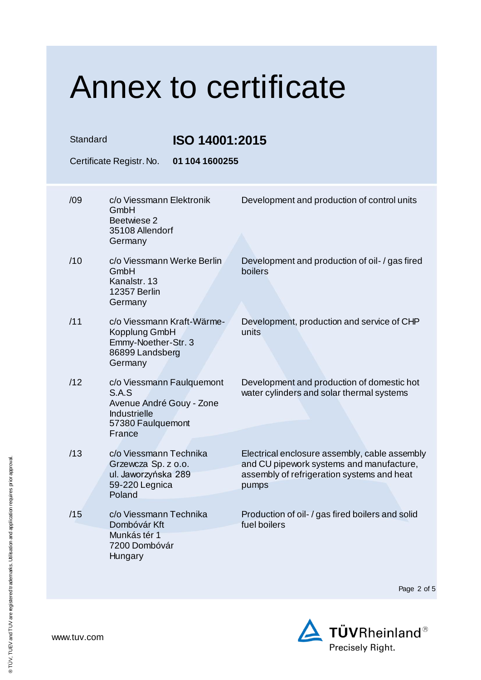| Standard | Certificate Registr. No.                                                                                             | <b>ISO 14001:2015</b><br>01 104 1600255 |                                                                                                                                                  |
|----------|----------------------------------------------------------------------------------------------------------------------|-----------------------------------------|--------------------------------------------------------------------------------------------------------------------------------------------------|
| /09      | c/o Viessmann Elektronik<br>GmbH<br>Beetwiese 2<br>35108 Allendorf<br>Germany                                        |                                         | Development and production of control units                                                                                                      |
| /10      | c/o Viessmann Werke Berlin<br>GmbH<br>Kanalstr. 13<br>12357 Berlin<br>Germany                                        |                                         | Development and production of oil- / gas fired<br>boilers                                                                                        |
| /11      | c/o Viessmann Kraft-Wärme-<br>Kopplung GmbH<br>Emmy-Noether-Str. 3<br>86899 Landsberg<br>Germany                     |                                         | Development, production and service of CHP<br>units                                                                                              |
| /12      | c/o Viessmann Faulquemont<br>S.A.S<br>Avenue André Gouy - Zone<br><b>Industrielle</b><br>57380 Faulquemont<br>France |                                         | Development and production of domestic hot<br>water cylinders and solar thermal systems                                                          |
| /13      | c/o Viessmann Technika<br>Grzewcza Sp. z o.o.<br>ul. Jaworzyńska 289<br>59-220 Legnica<br>Poland                     |                                         | Electrical enclosure assembly, cable assembly<br>and CU pipework systems and manufacture,<br>assembly of refrigeration systems and heat<br>pumps |
| /15      | c/o Viessmann Technika<br>Dombóvár Kft<br>Munkás tér 1<br>7200 Dombóvár<br>Hungary                                   |                                         | Production of oil- / gas fired boilers and solid<br>fuel boilers                                                                                 |

Page 2 of 5

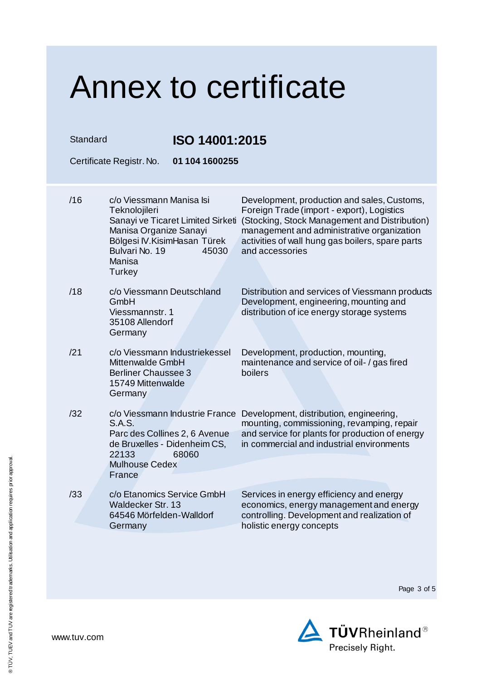| Standard |                                                                                                                                            | ISO 14001:2015                                                           |                                                                                                                                                                                                                                                                 |  |
|----------|--------------------------------------------------------------------------------------------------------------------------------------------|--------------------------------------------------------------------------|-----------------------------------------------------------------------------------------------------------------------------------------------------------------------------------------------------------------------------------------------------------------|--|
|          | Certificate Registr. No.                                                                                                                   | 01 104 1600255                                                           |                                                                                                                                                                                                                                                                 |  |
| /16      | c/o Viessmann Manisa Isi<br>Teknolojileri<br>Manisa Organize Sanayi<br>Bölgesi IV. Kisim Hasan Türek<br>Bulvari No. 19<br>Manisa<br>Turkey | Sanayi ve Ticaret Limited Sirketi<br>45030                               | Development, production and sales, Customs,<br>Foreign Trade (import - export), Logistics<br>(Stocking, Stock Management and Distribution)<br>management and administrative organization<br>activities of wall hung gas boilers, spare parts<br>and accessories |  |
| /18      | c/o Viessmann Deutschland<br>GmbH<br>Viessmannstr. 1<br>35108 Allendorf<br>Germany                                                         |                                                                          | Distribution and services of Viessmann products<br>Development, engineering, mounting and<br>distribution of ice energy storage systems                                                                                                                         |  |
| /21      | Mittenwalde GmbH<br><b>Berliner Chaussee 3</b><br>15749 Mittenwalde<br>Germany                                                             | c/o Viessmann Industriekessel                                            | Development, production, mounting,<br>maintenance and service of oil- / gas fired<br>boilers                                                                                                                                                                    |  |
| /32      | <b>S.A.S.</b><br>de Bruxelles - Didenheim CS,<br>22133<br><b>Mulhouse Cedex</b><br>France                                                  | c/o Viessmann Industrie France<br>Parc des Collines 2, 6 Avenue<br>68060 | Development, distribution, engineering,<br>mounting, commissioning, revamping, repair<br>and service for plants for production of energy<br>in commercial and industrial environments                                                                           |  |
| /33      | c/o Etanomics Service GmbH<br>Waldecker Str. 13<br>64546 Mörfelden-Walldorf<br>Germany                                                     |                                                                          | Services in energy efficiency and energy<br>economics, energy management and energy<br>controlling. Development and realization of<br>holistic energy concepts                                                                                                  |  |

Page 3 of 5

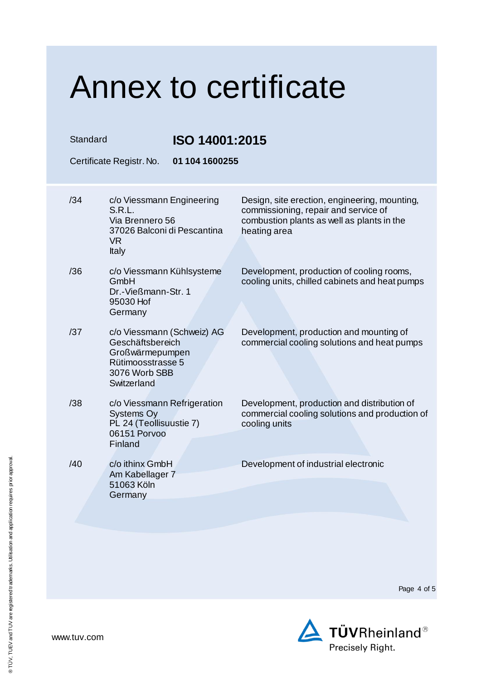### Annex to certificate Standard **ISO 14001:2015** Certificate Registr. No. **01 104 1600255** /34 c/o Viessmann Engineering S.R.L. Via Brennero 56 37026 Balconi di Pescantina VR Italy Design, site erection, engineering, mounting, commissioning, repair and service of combustion plants as well as plants in the heating area /36 c/o Viessmann Kühlsysteme GmbH Dr.-Vießmann-Str. 1 95030 Hof **Germany** Development, production of cooling rooms, cooling units, chilled cabinets and heat pumps /37 c/o Viessmann (Schweiz) AG Geschäftsbereich Großwärmepumpen Rütimoosstrasse 5 3076 Worb SBB **Switzerland** Development, production and mounting of commercial cooling solutions and heat pumps /38 c/o Viessmann Refrigeration Systems Oy PL 24 (Teollisuustie 7) 06151 Porvoo **Finland** Development, production and distribution of commercial cooling solutions and production of cooling units /40 c/o ithinx GmbH Am Kabellager 7 51063 Köln **Germany** Development of industrial electronic

Page 4 of 5



www.tuv.com